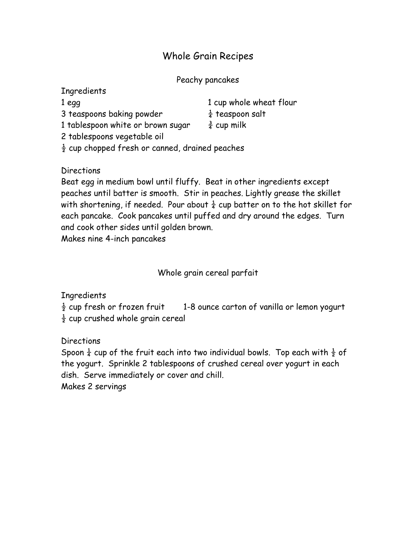# Whole Grain Recipes

Peachy pancakes

**Ingredients** 1 egg 1 cup whole wheat flour 3 teaspoons baking powder  $\frac{1}{4}$  teaspoon salt 1 tablespoon white or brown sugar  $\frac{3}{4}$  cup milk 2 tablespoons vegetable oil  $\frac{1}{2}$  cup chopped fresh or canned, drained peaches

Directions

Beat egg in medium bowl until fluffy. Beat in other ingredients except peaches until batter is smooth. Stir in peaches. Lightly grease the skillet with shortening, if needed. Pour about  $\frac{1}{4}$  cup batter on to the hot skillet for each pancake. Cook pancakes until puffed and dry around the edges. Turn and cook other sides until golden brown.

Makes nine 4-inch pancakes

Whole grain cereal parfait

**Ingredients** 

 $\frac{1}{2}$  cup fresh or frozen fruit 1-8 ounce carton of vanilla or lemon yogurt  $\frac{1}{2}$  cup crushed whole grain cereal

**Directions** 

Spoon  $\frac{1}{4}$  cup of the fruit each into two individual bowls. Top each with  $\frac{1}{2}$  of the yogurt. Sprinkle 2 tablespoons of crushed cereal over yogurt in each dish. Serve immediately or cover and chill. Makes 2 servings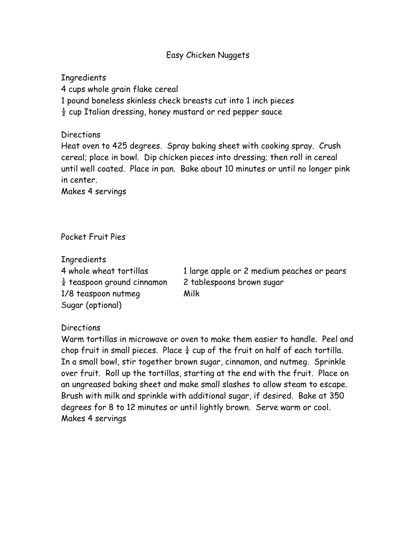# Easy Chicken Nuggets

## Ingredients

4 cups whole grain flake cereal

1 pound boneless skinless check breasts cut into 1 inch pieces

 $\frac{1}{2}$  cup Italian dressing, honey mustard or red pepper sauce

### **Directions**

Heat oven to 425 degrees. Spray baking sheet with cooking spray. Crush cereal; place in bowl. Dip chicken pieces into dressing; then roll in cereal until well coated. Place in pan. Bake about 10 minutes or until no longer pink in center.

Makes 4 servings

Pocket Fruit Pies

Ingredients  $\frac{1}{4}$  teaspoon ground cinnamon 2 tablespoons brown sugar 1/8 teaspoon nutmeg Milk Sugar (optional)

4 whole wheat tortillas 1 large apple or 2 medium peaches or pears

**Directions** 

Warm tortillas in microwave or oven to make them easier to handle. Peel and chop fruit in small pieces. Place  $\frac{1}{4}$  cup of the fruit on half of each tortilla. In a small bowl, stir together brown sugar, cinnamon, and nutmeg. Sprinkle over fruit. Roll up the tortillas, starting at the end with the fruit. Place on an ungreased baking sheet and make small slashes to allow steam to escape. Brush with milk and sprinkle with additional sugar, if desired. Bake at 350 degrees for 8 to 12 minutes or until lightly brown. Serve warm or cool. Makes 4 servings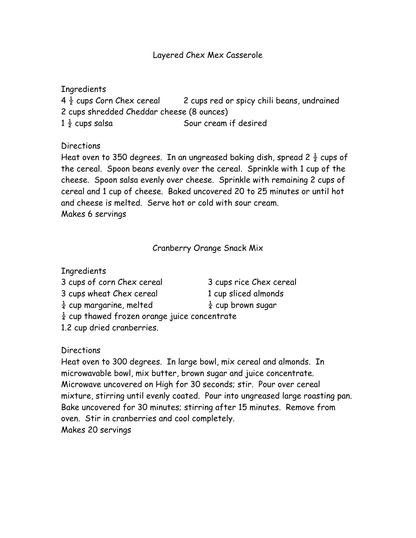# Layered Chex Mex Casserole

# **Ingredients**

- $4\frac{1}{2}$  cups Corn Chex cereal 2 cups red or spicy chili beans, undrained
- 2 cups shredded Cheddar cheese (8 ounces)
- $1\frac{1}{2}$  cups salsa Sour cream if desired

**Directions** 

Heat oven to 350 degrees. In an ungreased baking dish, spread 2  $\frac{1}{2}$  cups of the cereal. Spoon beans evenly over the cereal. Sprinkle with 1 cup of the cheese. Spoon salsa evenly over cheese. Sprinkle with remaining 2 cups of cereal and 1 cup of cheese. Baked uncovered 20 to 25 minutes or until hot and cheese is melted. Serve hot or cold with sour cream. Makes 6 servings

# Cranberry Orange Snack Mix

**Ingredients** 

- 3 cups of corn Chex cereal 3 cups rice Chex cereal
- 3 cups wheat Chex cereal 1 cup sliced almonds

- $\frac{1}{4}$  cup margarine, melted  $\frac{1}{4}$  cup brown sugar
- $\frac{1}{4}$  cup thawed frozen orange juice concentrate

1.2 cup dried cranberries.

**Directions** 

Heat oven to 300 degrees. In large bowl, mix cereal and almonds. In microwavable bowl, mix butter, brown sugar and juice concentrate. Microwave uncovered on High for 30 seconds; stir. Pour over cereal mixture, stirring until evenly coated. Pour into ungreased large roasting pan. Bake uncovered for 30 minutes; stirring after 15 minutes. Remove from oven. Stir in cranberries and cool completely. Makes 20 servings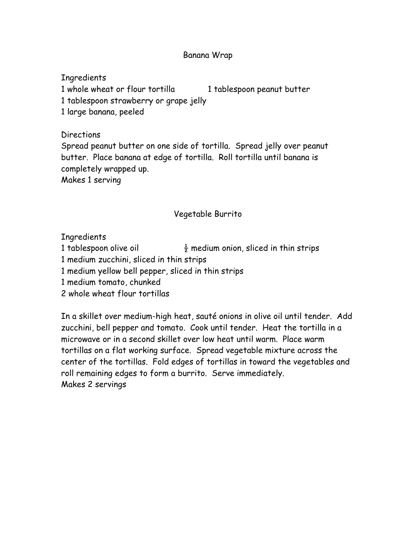#### Banana Wrap

# **Ingredients**

1 whole wheat or flour tortilla 1 tablespoon peanut butter

1 tablespoon strawberry or grape jelly

1 large banana, peeled

**Directions** 

Spread peanut butter on one side of tortilla. Spread jelly over peanut butter. Place banana at edge of tortilla. Roll tortilla until banana is completely wrapped up.

Makes 1 serving

## Vegetable Burrito

**Ingredients** 

- 1 tablespoon olive oil  $\frac{1}{2}$  medium onion, sliced in thin strips
- 1 medium zucchini, sliced in thin strips
- 1 medium yellow bell pepper, sliced in thin strips
- 1 medium tomato, chunked
- 2 whole wheat flour tortillas

In a skillet over medium-high heat, sauté onions in olive oil until tender. Add zucchini, bell pepper and tomato. Cook until tender. Heat the tortilla in a microwave or in a second skillet over low heat until warm. Place warm tortillas on a flat working surface. Spread vegetable mixture across the center of the tortillas. Fold edges of tortillas in toward the vegetables and roll remaining edges to form a burrito. Serve immediately. Makes 2 servings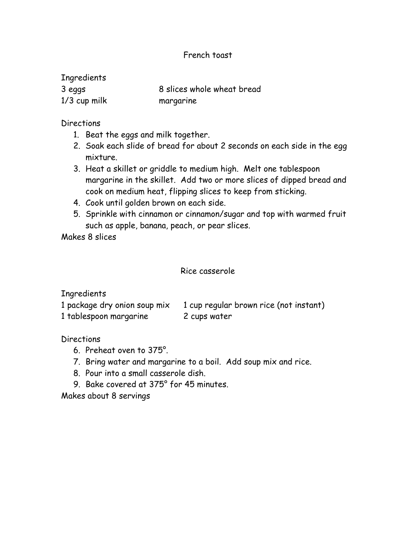#### French toast

| Ingredients    |                            |
|----------------|----------------------------|
| 3 eggs         | 8 slices whole wheat bread |
| $1/3$ cup milk | margarine                  |

#### **Directions**

- 1. Beat the eggs and milk together.
- 2. Soak each slide of bread for about 2 seconds on each side in the egg mixture.
- 3. Heat a skillet or griddle to medium high. Melt one tablespoon margarine in the skillet. Add two or more slices of dipped bread and cook on medium heat, flipping slices to keep from sticking.
- 4. Cook until golden brown on each side.
- 5. Sprinkle with cinnamon or cinnamon/sugar and top with warmed fruit such as apple, banana, peach, or pear slices.

Makes 8 slices

Rice casserole

**Ingredients** 

| 1 package dry onion soup mix | 1 cup regular brown rice (not instant) |
|------------------------------|----------------------------------------|
| 1 tablespoon margarine       | 2 cups water                           |

**Directions** 

- 6. Preheat oven to 375°.
- 7. Bring water and margarine to a boil. Add soup mix and rice.
- 8. Pour into a small casserole dish.
- 9. Bake covered at 375° for 45 minutes.

Makes about 8 servings